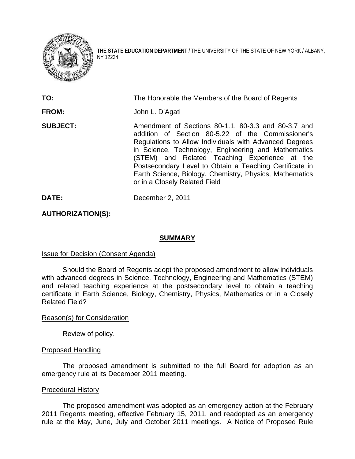

**THE STATE EDUCATION DEPARTMENT** / THE UNIVERSITY OF THE STATE OF NEW YORK / ALBANY, NY 12234

| TO:             | The Honorable the Members of the Board of Regents                                                                                                                                                                                                                                                                                                                                                                                 |
|-----------------|-----------------------------------------------------------------------------------------------------------------------------------------------------------------------------------------------------------------------------------------------------------------------------------------------------------------------------------------------------------------------------------------------------------------------------------|
| <b>FROM:</b>    | John L. D'Agati                                                                                                                                                                                                                                                                                                                                                                                                                   |
| <b>SUBJECT:</b> | Amendment of Sections 80-1.1, 80-3.3 and 80-3.7 and<br>addition of Section 80-5.22 of the Commissioner's<br>Regulations to Allow Individuals with Advanced Degrees<br>in Science, Technology, Engineering and Mathematics<br>(STEM) and Related Teaching Experience at the<br>Postsecondary Level to Obtain a Teaching Certificate in<br>Earth Science, Biology, Chemistry, Physics, Mathematics<br>or in a Closely Related Field |

**DATE:** December 2, 2011

# **AUTHORIZATION(S):**

## **SUMMARY**

## **Issue for Decision (Consent Agenda)**

Should the Board of Regents adopt the proposed amendment to allow individuals with advanced degrees in Science, Technology, Engineering and Mathematics (STEM) and related teaching experience at the postsecondary level to obtain a teaching certificate in Earth Science, Biology, Chemistry, Physics, Mathematics or in a Closely Related Field?

## Reason(s) for Consideration

Review of policy.

## Proposed Handling

The proposed amendment is submitted to the full Board for adoption as an emergency rule at its December 2011 meeting.

## Procedural History

The proposed amendment was adopted as an emergency action at the February 2011 Regents meeting, effective February 15, 2011, and readopted as an emergency rule at the May, June, July and October 2011 meetings. A Notice of Proposed Rule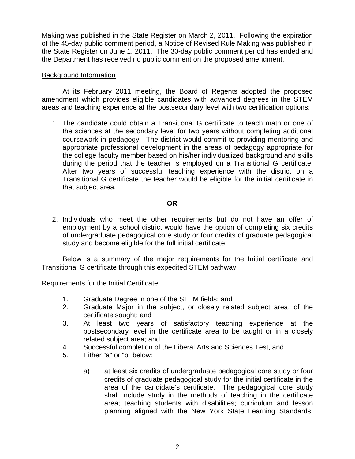Making was published in the State Register on March 2, 2011. Following the expiration of the 45-day public comment period, a Notice of Revised Rule Making was published in the State Register on June 1, 2011. The 30-day public comment period has ended and the Department has received no public comment on the proposed amendment.

# Background Information

 At its February 2011 meeting, the Board of Regents adopted the proposed amendment which provides eligible candidates with advanced degrees in the STEM areas and teaching experience at the postsecondary level with two certification options:

1. The candidate could obtain a Transitional G certificate to teach math or one of the sciences at the secondary level for two years without completing additional coursework in pedagogy. The district would commit to providing mentoring and appropriate professional development in the areas of pedagogy appropriate for the college faculty member based on his/her individualized background and skills during the period that the teacher is employed on a Transitional G certificate. After two years of successful teaching experience with the district on a Transitional G certificate the teacher would be eligible for the initial certificate in that subject area.

# **OR OR**

2. Individuals who meet the other requirements but do not have an offer of employment by a school district would have the option of completing six credits of undergraduate pedagogical core study or four credits of graduate pedagogical study and become eligible for the full initial certificate.

 Below is a summary of the major requirements for the Initial certificate and Transitional G certificate through this expedited STEM pathway.

Requirements for the Initial Certificate:

- 1. Graduate Degree in one of the STEM fields; and
- 2. Graduate Major in the subject, or closely related subject area, of the certificate sought; and
- 3. At least two years of satisfactory teaching experience at the postsecondary level in the certificate area to be taught or in a closely related subject area; and
- 4. Successful completion of the Liberal Arts and Sciences Test, and
- 5. Either "a" or "b" below:
	- a) at least six credits of undergraduate pedagogical core study or four credits of graduate pedagogical study for the initial certificate in the area of the candidate's certificate. The pedagogical core study shall include study in the methods of teaching in the certificate area; teaching students with disabilities; curriculum and lesson planning aligned with the New York State Learning Standards;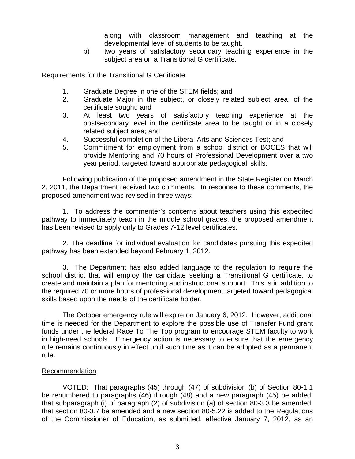along with classroom management and teaching at the developmental level of students to be taught.

b) two years of satisfactory secondary teaching experience in the subject area on a Transitional G certificate.

Requirements for the Transitional G Certificate:

- 1. Graduate Degree in one of the STEM fields; and
- 2. Graduate Major in the subject, or closely related subject area, of the certificate sought; and
- 3. At least two years of satisfactory teaching experience at the postsecondary level in the certificate area to be taught or in a closely related subject area; and
- 4. Successful completion of the Liberal Arts and Sciences Test; and
- 5. Commitment for employment from a school district or BOCES that will provide Mentoring and 70 hours of Professional Development over a two year period, targeted toward appropriate pedagogical skills.

Following publication of the proposed amendment in the State Register on March 2, 2011, the Department received two comments. In response to these comments, the proposed amendment was revised in three ways:

1. To address the commenter's concerns about teachers using this expedited pathway to immediately teach in the middle school grades, the proposed amendment has been revised to apply only to Grades 7-12 level certificates.

2. The deadline for individual evaluation for candidates pursuing this expedited pathway has been extended beyond February 1, 2012.

 3. The Department has also added language to the regulation to require the school district that will employ the candidate seeking a Transitional G certificate, to create and maintain a plan for mentoring and instructional support. This is in addition to the required 70 or more hours of professional development targeted toward pedagogical skills based upon the needs of the certificate holder.

The October emergency rule will expire on January 6, 2012. However, additional time is needed for the Department to explore the possible use of Transfer Fund grant funds under the federal Race To The Top program to encourage STEM faculty to work in high-need schools. Emergency action is necessary to ensure that the emergency rule remains continuously in effect until such time as it can be adopted as a permanent rule.

# Recommendation

VOTED: That paragraphs (45) through (47) of subdivision (b) of Section 80-1.1 be renumbered to paragraphs (46) through (48) and a new paragraph (45) be added; that subparagraph (i) of paragraph (2) of subdivision (a) of section 80-3.3 be amended; that section 80-3.7 be amended and a new section 80-5.22 is added to the Regulations of the Commissioner of Education, as submitted, effective January 7, 2012, as an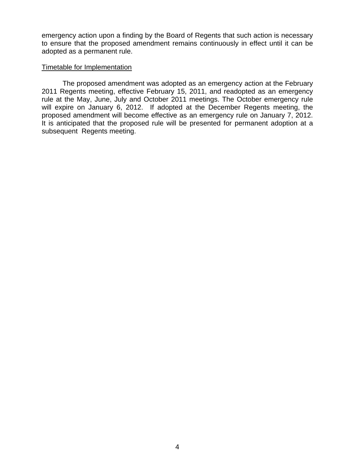emergency action upon a finding by the Board of Regents that such action is necessary to ensure that the proposed amendment remains continuously in effect until it can be adopted as a permanent rule.

## Timetable for Implementation

 The proposed amendment was adopted as an emergency action at the February 2011 Regents meeting, effective February 15, 2011, and readopted as an emergency rule at the May, June, July and October 2011 meetings. The October emergency rule will expire on January 6, 2012. If adopted at the December Regents meeting, the proposed amendment will become effective as an emergency rule on January 7, 2012. It is anticipated that the proposed rule will be presented for permanent adoption at a subsequent Regents meeting.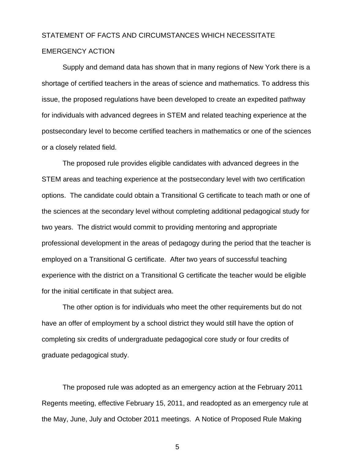# STATEMENT OF FACTS AND CIRCUMSTANCES WHICH NECESSITATE

# EMERGENCY ACTION

Supply and demand data has shown that in many regions of New York there is a shortage of certified teachers in the areas of science and mathematics. To address this issue, the proposed regulations have been developed to create an expedited pathway for individuals with advanced degrees in STEM and related teaching experience at the postsecondary level to become certified teachers in mathematics or one of the sciences or a closely related field.

 The proposed rule provides eligible candidates with advanced degrees in the STEM areas and teaching experience at the postsecondary level with two certification options. The candidate could obtain a Transitional G certificate to teach math or one of the sciences at the secondary level without completing additional pedagogical study for two years. The district would commit to providing mentoring and appropriate professional development in the areas of pedagogy during the period that the teacher is employed on a Transitional G certificate. After two years of successful teaching experience with the district on a Transitional G certificate the teacher would be eligible for the initial certificate in that subject area.

 The other option is for individuals who meet the other requirements but do not have an offer of employment by a school district they would still have the option of completing six credits of undergraduate pedagogical core study or four credits of graduate pedagogical study.

The proposed rule was adopted as an emergency action at the February 2011 Regents meeting, effective February 15, 2011, and readopted as an emergency rule at the May, June, July and October 2011 meetings. A Notice of Proposed Rule Making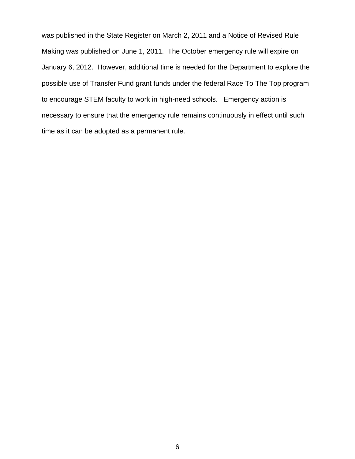was published in the State Register on March 2, 2011 and a Notice of Revised Rule Making was published on June 1, 2011. The October emergency rule will expire on January 6, 2012. However, additional time is needed for the Department to explore the possible use of Transfer Fund grant funds under the federal Race To The Top program to encourage STEM faculty to work in high-need schools. Emergency action is necessary to ensure that the emergency rule remains continuously in effect until such time as it can be adopted as a permanent rule.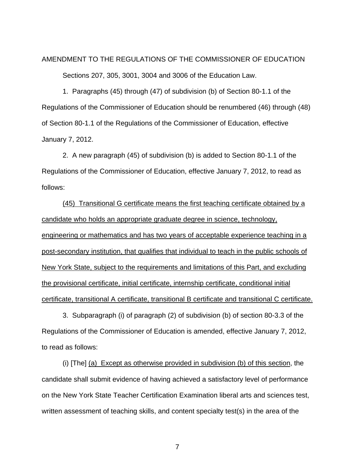# AMENDMENT TO THE REGULATIONS OF THE COMMISSIONER OF EDUCATION Sections 207, 305, 3001, 3004 and 3006 of the Education Law.

1. Paragraphs (45) through (47) of subdivision (b) of Section 80-1.1 of the Regulations of the Commissioner of Education should be renumbered (46) through (48) of Section 80-1.1 of the Regulations of the Commissioner of Education, effective January 7, 2012.

 2. A new paragraph (45) of subdivision (b) is added to Section 80-1.1 of the Regulations of the Commissioner of Education, effective January 7, 2012, to read as follows:

(45) Transitional G certificate means the first teaching certificate obtained by a candidate who holds an appropriate graduate degree in science, technology, engineering or mathematics and has two years of acceptable experience teaching in a post-secondary institution, that qualifies that individual to teach in the public schools of New York State, subject to the requirements and limitations of this Part, and excluding the provisional certificate, initial certificate, internship certificate, conditional initial certificate, transitional A certificate, transitional B certificate and transitional C certificate.

 3. Subparagraph (i) of paragraph (2) of subdivision (b) of section 80-3.3 of the Regulations of the Commissioner of Education is amended, effective January 7, 2012, to read as follows:

(i) [The] (a) Except as otherwise provided in subdivision (b) of this section, the candidate shall submit evidence of having achieved a satisfactory level of performance on the New York State Teacher Certification Examination liberal arts and sciences test, written assessment of teaching skills, and content specialty test(s) in the area of the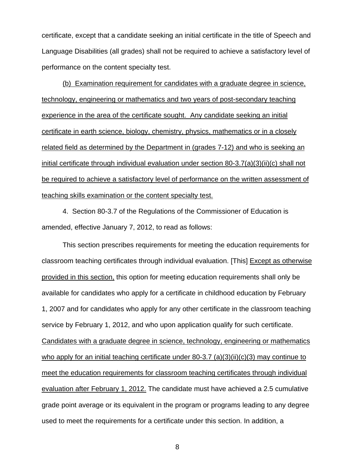certificate, except that a candidate seeking an initial certificate in the title of Speech and Language Disabilities (all grades) shall not be required to achieve a satisfactory level of performance on the content specialty test.

(b) Examination requirement for candidates with a graduate degree in science, technology, engineering or mathematics and two years of post-secondary teaching experience in the area of the certificate sought. Any candidate seeking an initial certificate in earth science, biology, chemistry, physics, mathematics or in a closely related field as determined by the Department in (grades 7-12) and who is seeking an initial certificate through individual evaluation under section 80-3.7(a)(3)(ii)(c) shall not be required to achieve a satisfactory level of performance on the written assessment of teaching skills examination or the content specialty test.

4. Section 80-3.7 of the Regulations of the Commissioner of Education is amended, effective January 7, 2012, to read as follows:

This section prescribes requirements for meeting the education requirements for classroom teaching certificates through individual evaluation. [This] Except as otherwise provided in this section, this option for meeting education requirements shall only be available for candidates who apply for a certificate in childhood education by February 1, 2007 and for candidates who apply for any other certificate in the classroom teaching service by February 1, 2012, and who upon application qualify for such certificate. Candidates with a graduate degree in science, technology, engineering or mathematics who apply for an initial teaching certificate under 80-3.7 (a)(3)(ii)(c)(3) may continue to meet the education requirements for classroom teaching certificates through individual evaluation after February 1, 2012. The candidate must have achieved a 2.5 cumulative grade point average or its equivalent in the program or programs leading to any degree used to meet the requirements for a certificate under this section. In addition, a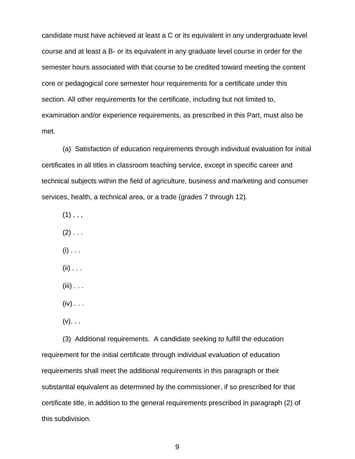candidate must have achieved at least a C or its equivalent in any undergraduate level course and at least a B- or its equivalent in any graduate level course in order for the semester hours associated with that course to be credited toward meeting the content core or pedagogical core semester hour requirements for a certificate under this section. All other requirements for the certificate, including but not limited to, examination and/or experience requirements, as prescribed in this Part, must also be met.

(a) Satisfaction of education requirements through individual evaluation for initial certificates in all titles in classroom teaching service, except in specific career and technical subjects within the field of agriculture, business and marketing and consumer services, health, a technical area, or a trade (grades 7 through 12).

- $(1)$ , , ,
- $(2)$  . . .
- $(i)$  . . .
- $(ii)$  . . .
- $(iii) \ldots$
- $(iv) \ldots$
- $(v)$ . . .

(3) Additional requirements. A candidate seeking to fulfill the education requirement for the initial certificate through individual evaluation of education requirements shall meet the additional requirements in this paragraph or their substantial equivalent as determined by the commissioner, if so prescribed for that certificate title, in addition to the general requirements prescribed in paragraph (2) of this subdivision.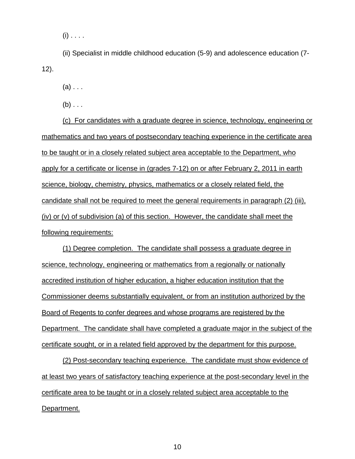$(i)$  . . . .

(ii) Specialist in middle childhood education (5-9) and adolescence education (7- 12).

 $(a)$ ...

 $(b) \ldots$ 

(c) For candidates with a graduate degree in science, technology, engineering or mathematics and two years of postsecondary teaching experience in the certificate area to be taught or in a closely related subject area acceptable to the Department, who apply for a certificate or license in (grades 7-12) on or after February 2, 2011 in earth science, biology, chemistry, physics, mathematics or a closely related field, the candidate shall not be required to meet the general requirements in paragraph (2) (iii), (iv) or (v) of subdivision (a) of this section. However, the candidate shall meet the following requirements:

 (1) Degree completion. The candidate shall possess a graduate degree in science, technology, engineering or mathematics from a regionally or nationally accredited institution of higher education, a higher education institution that the Commissioner deems substantially equivalent, or from an institution authorized by the Board of Regents to confer degrees and whose programs are registered by the Department. The candidate shall have completed a graduate major in the subject of the certificate sought, or in a related field approved by the department for this purpose.

 (2) Post-secondary teaching experience. The candidate must show evidence of at least two years of satisfactory teaching experience at the post-secondary level in the certificate area to be taught or in a closely related subject area acceptable to the Department.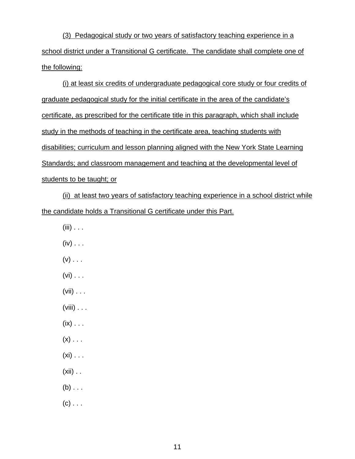(3) Pedagogical study or two years of satisfactory teaching experience in a school district under a Transitional G certificate. The candidate shall complete one of the following:

(i) at least six credits of undergraduate pedagogical core study or four credits of graduate pedagogical study for the initial certificate in the area of the candidate's certificate, as prescribed for the certificate title in this paragraph, which shall include study in the methods of teaching in the certificate area, teaching students with disabilities; curriculum and lesson planning aligned with the New York State Learning Standards; and classroom management and teaching at the developmental level of students to be taught; or

(ii) at least two years of satisfactory teaching experience in a school district while the candidate holds a Transitional G certificate under this Part.

- $(iii)$  . . .
- $(iv)$  . . .
- $(v)$  . . .
- $(vi) \ldots$
- $(vii) \ldots$
- (viii) . . .
- $(ix) \ldots$
- $(x)$  . . .
- $(xi) \ldots$
- $(xii)$  . .
- $(b)$ ...
- $(c)$ ...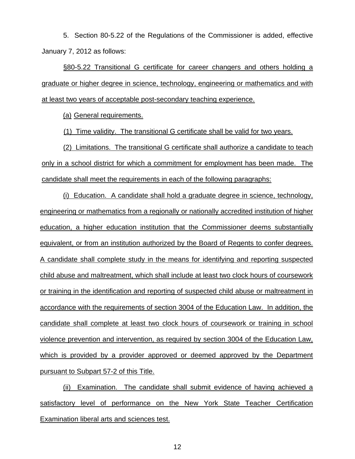5. Section 80-5.22 of the Regulations of the Commissioner is added, effective January 7, 2012 as follows:

§80-5.22 Transitional G certificate for career changers and others holding a graduate or higher degree in science, technology, engineering or mathematics and with at least two years of acceptable post-secondary teaching experience.

(a) General requirements.

(1) Time validity. The transitional G certificate shall be valid for two years.

(2) Limitations. The transitional G certificate shall authorize a candidate to teach only in a school district for which a commitment for employment has been made. The candidate shall meet the requirements in each of the following paragraphs:

(i) Education. A candidate shall hold a graduate degree in science, technology, engineering or mathematics from a regionally or nationally accredited institution of higher education, a higher education institution that the Commissioner deems substantially equivalent, or from an institution authorized by the Board of Regents to confer degrees. A candidate shall complete study in the means for identifying and reporting suspected child abuse and maltreatment, which shall include at least two clock hours of coursework or training in the identification and reporting of suspected child abuse or maltreatment in accordance with the requirements of section 3004 of the Education Law. In addition, the candidate shall complete at least two clock hours of coursework or training in school violence prevention and intervention, as required by section 3004 of the Education Law, which is provided by a provider approved or deemed approved by the Department pursuant to Subpart 57-2 of this Title.

(ii) Examination. The candidate shall submit evidence of having achieved a satisfactory level of performance on the New York State Teacher Certification Examination liberal arts and sciences test.